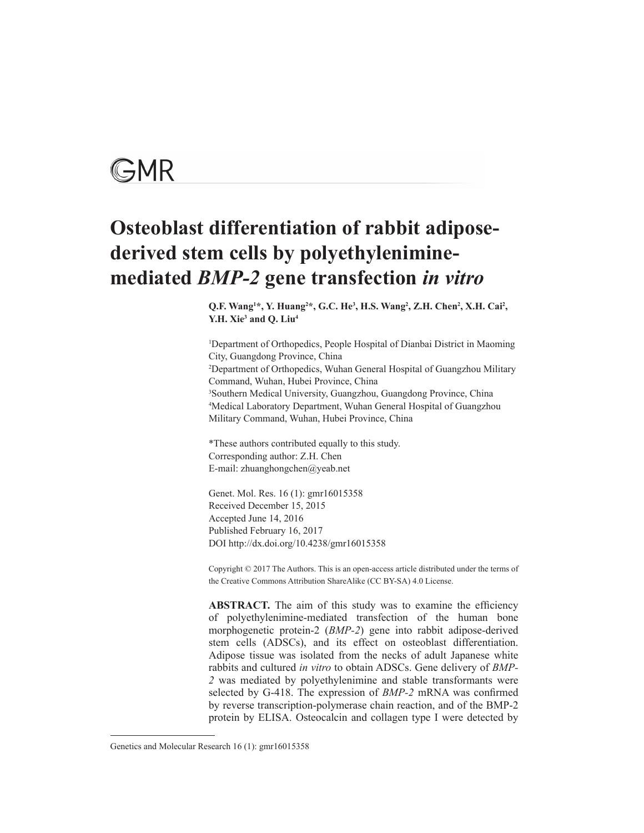

# **Osteoblast differentiation of rabbit adiposederived stem cells by polyethyleniminemediated** *BMP-2* **gene transfection** *in vitro*

Q.F. Wang<sup>1\*</sup>, Y. Huang<sup>2\*</sup>, G.C. He<sup>3</sup>, H.S. Wang<sup>2</sup>, Z.H. Chen<sup>2</sup>, X.H. Cai<sup>2</sup>, **Y.H. Xie3 and Q. Liu4**

1 Department of Orthopedics, People Hospital of Dianbai District in Maoming City, Guangdong Province, China 2 Department of Orthopedics, Wuhan General Hospital of Guangzhou Military Command, Wuhan, Hubei Province, China 3 Southern Medical University, Guangzhou, Guangdong Province, China 4 Medical Laboratory Department, Wuhan General Hospital of Guangzhou Military Command, Wuhan, Hubei Province, China

\*These authors contributed equally to this study. Corresponding author: Z.H. Chen E-mail: zhuanghongchen@yeab.net

Genet. Mol. Res. 16 (1): gmr16015358 Received December 15, 2015 Accepted June 14, 2016 Published February 16, 2017 DOI http://dx.doi.org/10.4238/gmr16015358

Copyright © 2017 The Authors. This is an open-access article distributed under the terms of the Creative Commons Attribution ShareAlike (CC BY-SA) 4.0 License.

**ABSTRACT.** The aim of this study was to examine the efficiency of polyethylenimine-mediated transfection of the human bone morphogenetic protein-2 (*BMP-2*) gene into rabbit adipose-derived stem cells (ADSCs), and its effect on osteoblast differentiation. Adipose tissue was isolated from the necks of adult Japanese white rabbits and cultured *in vitro* to obtain ADSCs. Gene delivery of *BMP-2* was mediated by polyethylenimine and stable transformants were selected by G-418. The expression of *BMP-2* mRNA was confirmed by reverse transcription-polymerase chain reaction, and of the BMP-2 protein by ELISA. Osteocalcin and collagen type I were detected by

Genetics and Molecular Research 16 (1): gmr16015358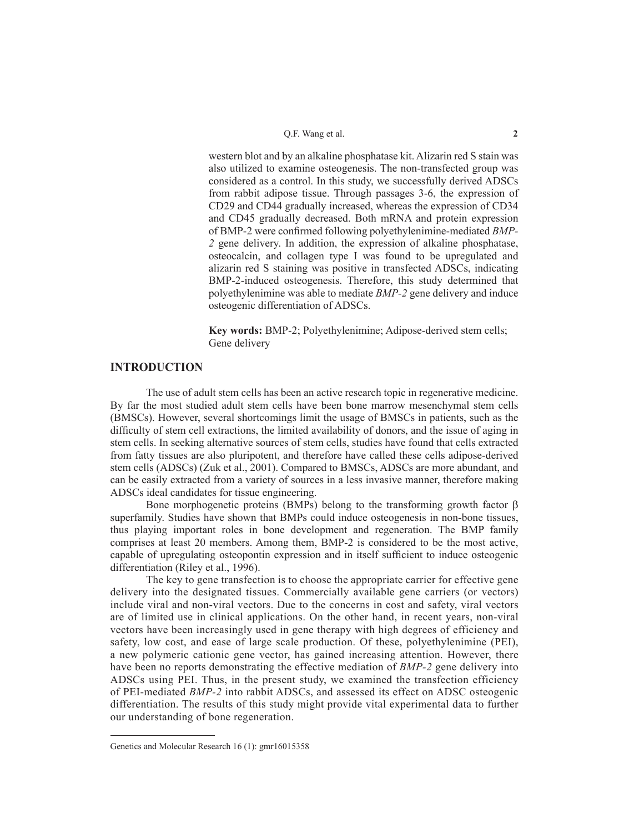western blot and by an alkaline phosphatase kit. Alizarin red S stain was also utilized to examine osteogenesis. The non-transfected group was considered as a control. In this study, we successfully derived ADSCs from rabbit adipose tissue. Through passages 3-6, the expression of CD29 and CD44 gradually increased, whereas the expression of CD34 and CD45 gradually decreased. Both mRNA and protein expression of BMP-2 were confirmed following polyethylenimine-mediated *BMP-2* gene delivery. In addition, the expression of alkaline phosphatase, osteocalcin, and collagen type I was found to be upregulated and alizarin red S staining was positive in transfected ADSCs, indicating BMP-2-induced osteogenesis. Therefore, this study determined that polyethylenimine was able to mediate *BMP-2* gene delivery and induce osteogenic differentiation of ADSCs.

**Key words:** BMP-2; Polyethylenimine; Adipose-derived stem cells; Gene delivery

# **INTRODUCTION**

The use of adult stem cells has been an active research topic in regenerative medicine. By far the most studied adult stem cells have been bone marrow mesenchymal stem cells (BMSCs). However, several shortcomings limit the usage of BMSCs in patients, such as the difficulty of stem cell extractions, the limited availability of donors, and the issue of aging in stem cells. In seeking alternative sources of stem cells, studies have found that cells extracted from fatty tissues are also pluripotent, and therefore have called these cells adipose-derived stem cells (ADSCs) (Zuk et al., 2001). Compared to BMSCs, ADSCs are more abundant, and can be easily extracted from a variety of sources in a less invasive manner, therefore making ADSCs ideal candidates for tissue engineering.

Bone morphogenetic proteins (BMPs) belong to the transforming growth factor  $\beta$ superfamily. Studies have shown that BMPs could induce osteogenesis in non-bone tissues, thus playing important roles in bone development and regeneration. The BMP family comprises at least 20 members. Among them, BMP-2 is considered to be the most active, capable of upregulating osteopontin expression and in itself sufficient to induce osteogenic differentiation (Riley et al., 1996).

The key to gene transfection is to choose the appropriate carrier for effective gene delivery into the designated tissues. Commercially available gene carriers (or vectors) include viral and non-viral vectors. Due to the concerns in cost and safety, viral vectors are of limited use in clinical applications. On the other hand, in recent years, non-viral vectors have been increasingly used in gene therapy with high degrees of efficiency and safety, low cost, and ease of large scale production. Of these, polyethylenimine (PEI), a new polymeric cationic gene vector, has gained increasing attention. However, there have been no reports demonstrating the effective mediation of *BMP-2* gene delivery into ADSCs using PEI. Thus, in the present study, we examined the transfection efficiency of PEI-mediated *BMP-2* into rabbit ADSCs, and assessed its effect on ADSC osteogenic differentiation. The results of this study might provide vital experimental data to further our understanding of bone regeneration.

Genetics and Molecular Research 16 (1): gmr16015358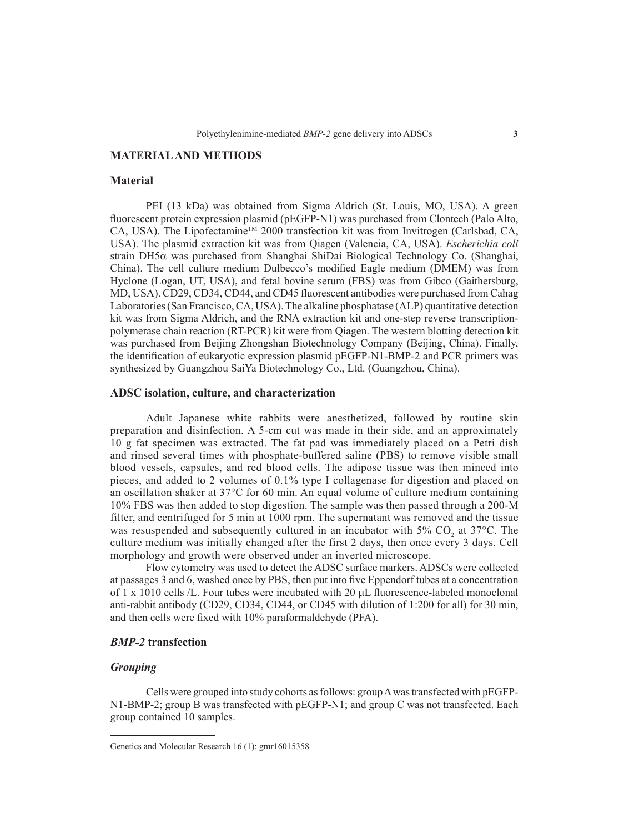# **MATERIAL AND METHODS**

#### **Material**

PEI (13 kDa) was obtained from Sigma Aldrich (St. Louis, MO, USA). A green fluorescent protein expression plasmid (pEGFP-N1) was purchased from Clontech (Palo Alto, CA, USA). The Lipofectamine<sup>TM</sup> 2000 transfection kit was from Invitrogen (Carlsbad, CA, USA). The plasmid extraction kit was from Qiagen (Valencia, CA, USA). *Escherichia coli* strain DH5 $\alpha$  was purchased from Shanghai ShiDai Biological Technology Co. (Shanghai, China). The cell culture medium Dulbecco's modified Eagle medium (DMEM) was from Hyclone (Logan, UT, USA), and fetal bovine serum (FBS) was from Gibco (Gaithersburg, MD, USA). CD29, CD34, CD44, and CD45 fluorescent antibodies were purchased from Cahag Laboratories (San Francisco, CA, USA). The alkaline phosphatase (ALP) quantitative detection kit was from Sigma Aldrich, and the RNA extraction kit and one-step reverse transcriptionpolymerase chain reaction (RT-PCR) kit were from Qiagen. The western blotting detection kit was purchased from Beijing Zhongshan Biotechnology Company (Beijing, China). Finally, the identification of eukaryotic expression plasmid pEGFP-N1-BMP-2 and PCR primers was synthesized by Guangzhou SaiYa Biotechnology Co., Ltd. (Guangzhou, China).

# **ADSC isolation, culture, and characterization**

Adult Japanese white rabbits were anesthetized, followed by routine skin preparation and disinfection. A 5-cm cut was made in their side, and an approximately 10 g fat specimen was extracted. The fat pad was immediately placed on a Petri dish and rinsed several times with phosphate-buffered saline (PBS) to remove visible small blood vessels, capsules, and red blood cells. The adipose tissue was then minced into pieces, and added to 2 volumes of 0.1% type I collagenase for digestion and placed on an oscillation shaker at  $37^{\circ}$ C for 60 min. An equal volume of culture medium containing 10% FBS was then added to stop digestion. The sample was then passed through a 200-M filter, and centrifuged for 5 min at 1000 rpm. The supernatant was removed and the tissue was resuspended and subsequently cultured in an incubator with  $5\%$  CO<sub>2</sub> at  $37^{\circ}$ C. The culture medium was initially changed after the first 2 days, then once every 3 days. Cell morphology and growth were observed under an inverted microscope.

Flow cytometry was used to detect the ADSC surface markers. ADSCs were collected at passages 3 and 6, washed once by PBS, then put into five Eppendorf tubes at a concentration of  $1 \times 1010$  cells /L. Four tubes were incubated with 20  $\mu$ L fluorescence-labeled monoclonal anti-rabbit antibody (CD29, CD34, CD44, or CD45 with dilution of 1:200 for all) for 30 min, and then cells were fixed with 10% paraformaldehyde (PFA).

## *BMP-2* **transfection**

## *Grouping*

Cells were grouped into study cohorts as follows: group A was transfected with pEGFP-N1-BMP-2; group B was transfected with pEGFP-N1; and group C was not transfected. Each group contained 10 samples.

Genetics and Molecular Research 16 (1): gmr16015358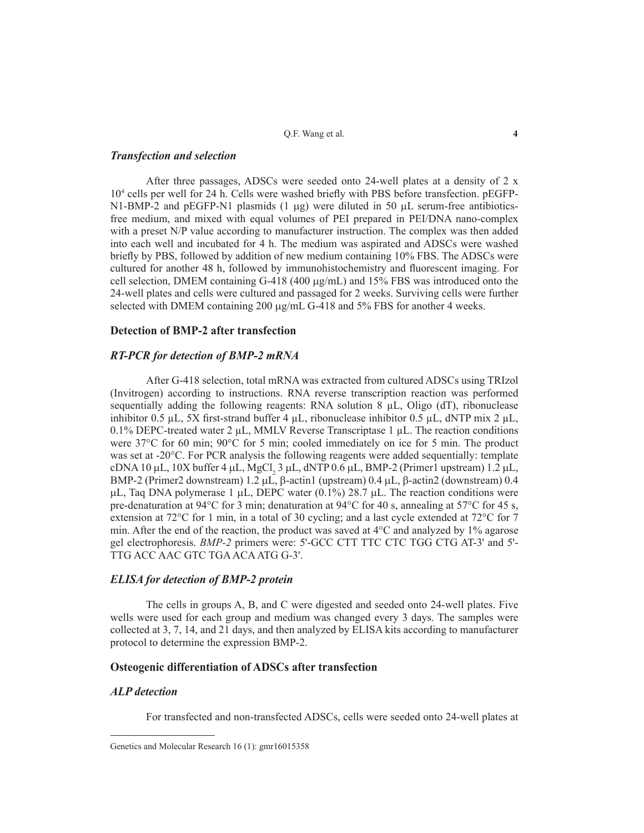Q.F. Wang et al. **4**

## *Transfection and selection*

After three passages, ADSCs were seeded onto 24-well plates at a density of 2 x 104 cells per well for 24 h. Cells were washed briefly with PBS before transfection. pEGFP-N1-BMP-2 and pEGFP-N1 plasmids  $(1 \mu g)$  were diluted in 50  $\mu$ L serum-free antibioticsfree medium, and mixed with equal volumes of PEI prepared in PEI/DNA nano-complex with a preset N/P value according to manufacturer instruction. The complex was then added into each well and incubated for 4 h. The medium was aspirated and ADSCs were washed briefly by PBS, followed by addition of new medium containing 10% FBS. The ADSCs were cultured for another 48 h, followed by immunohistochemistry and fluorescent imaging. For cell selection, DMEM containing  $G-418$  (400  $\mu\text{g/mL}$ ) and 15% FBS was introduced onto the 24-well plates and cells were cultured and passaged for 2 weeks. Surviving cells were further selected with DMEM containing  $200 \mu g/mL$  G-418 and 5% FBS for another 4 weeks.

## **Detection of BMP-2 after transfection**

## *RT-PCR for detection of BMP-2 mRNA*

After G-418 selection, total mRNA was extracted from cultured ADSCs using TRIzol (Invitrogen) according to instructions. RNA reverse transcription reaction was performed sequentially adding the following reagents: RNA solution  $8 \mu L$ , Oligo (dT), ribonuclease inhibitor 0.5 µL, 5X first-strand buffer 4 µL, ribonuclease inhibitor 0.5 µL, dNTP mix 2 µL, 0.1% DEPC-treated water 2  $\mu$ L, MMLV Reverse Transcriptase 1  $\mu$ L. The reaction conditions were 37<sup>o</sup>C for 60 min; 90<sup>o</sup>C for 5 min; cooled immediately on ice for 5 min. The product was set at -20°C. For PCR analysis the following reagents were added sequentially: template cDNA 10  $\mu$ L, 10X buffer 4  $\mu$ L, MgCl<sub>2</sub> 3  $\mu$ L, dNTP 0.6  $\mu$ L, BMP-2 (Primer1 upstream) 1.2  $\mu$ L, BMP-2 (Primer2 downstream)  $1.2 \mu L$ ,  $\beta$ -actin1 (upstream)  $0.4 \mu L$ ,  $\beta$ -actin2 (downstream)  $0.4 \mu L$  $\mu$ L, Taq DNA polymerase 1  $\mu$ L, DEPC water (0.1%) 28.7  $\mu$ L. The reaction conditions were pre-denaturation at 94°C for 3 min; denaturation at 94°C for 40 s, annealing at 57°C for 45 s, extension at 72°C for 1 min, in a total of 30 cycling; and a last cycle extended at 72°C for 7 min. After the end of the reaction, the product was saved at  $4^{\circ}$ C and analyzed by 1% agarose gel electrophoresis. *BMP-2* primers were: 5'-GCC CTT TTC CTC TGG CTG AT-3' and 5'- TTG ACC AAC GTC TGA ACA ATG G-3'.

## *ELISA for detection of BMP-2 protein*

The cells in groups A, B, and C were digested and seeded onto 24-well plates. Five wells were used for each group and medium was changed every 3 days. The samples were collected at 3, 7, 14, and 21 days, and then analyzed by ELISA kits according to manufacturer protocol to determine the expression BMP-2.

## **Osteogenic differentiation of ADSCs after transfection**

## *ALP detection*

For transfected and non-transfected ADSCs, cells were seeded onto 24-well plates at

Genetics and Molecular Research 16 (1): gmr16015358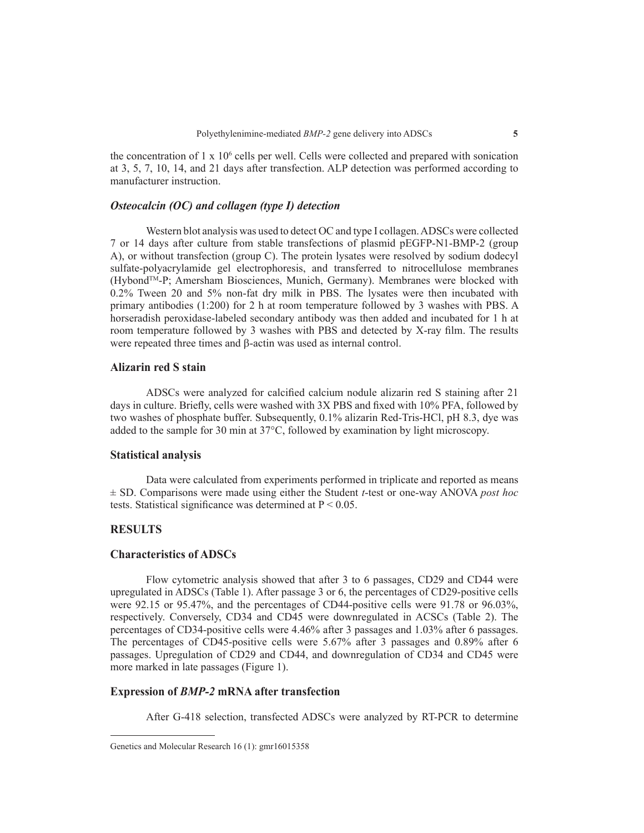the concentration of  $1 \times 10^6$  cells per well. Cells were collected and prepared with sonication at 3, 5, 7, 10, 14, and 21 days after transfection. ALP detection was performed according to manufacturer instruction.

## *Osteocalcin (OC) and collagen (type I) detection*

Western blot analysis was used to detect OC and type I collagen. ADSCs were collected 7 or 14 days after culture from stable transfections of plasmid pEGFP-N1-BMP-2 (group A), or without transfection (group C). The protein lysates were resolved by sodium dodecyl sulfate-polyacrylamide gel electrophoresis, and transferred to nitrocellulose membranes (HybondTM-P; Amersham Biosciences, Munich, Germany). Membranes were blocked with 0.2% Tween 20 and 5% non-fat dry milk in PBS. The lysates were then incubated with primary antibodies (1:200) for 2 h at room temperature followed by 3 washes with PBS. A horseradish peroxidase-labeled secondary antibody was then added and incubated for 1 h at room temperature followed by 3 washes with PBS and detected by X-ray film. The results were repeated three times and  $\beta$ -actin was used as internal control.

## **Alizarin red S stain**

ADSCs were analyzed for calcified calcium nodule alizarin red S staining after 21 days in culture. Briefly, cells were washed with 3X PBS and fixed with 10% PFA, followed by two washes of phosphate buffer. Subsequently, 0.1% alizarin Red-Tris-HCl, pH 8.3, dye was added to the sample for 30 min at 37°C, followed by examination by light microscopy.

#### **Statistical analysis**

Data were calculated from experiments performed in triplicate and reported as means ± SD. Comparisons were made using either the Student *t*-test or one-way ANOVA *post hoc*  tests. Statistical significance was determined at  $P \le 0.05$ .

# **RESULTS**

# **Characteristics of ADSCs**

Flow cytometric analysis showed that after 3 to 6 passages, CD29 and CD44 were upregulated in ADSCs (Table 1). After passage 3 or 6, the percentages of CD29-positive cells were 92.15 or 95.47%, and the percentages of CD44-positive cells were 91.78 or 96.03%, respectively. Conversely, CD34 and CD45 were downregulated in ACSCs (Table 2). The percentages of CD34-positive cells were 4.46% after 3 passages and 1.03% after 6 passages. The percentages of CD45-positive cells were 5.67% after 3 passages and 0.89% after 6 passages. Upregulation of CD29 and CD44, and downregulation of CD34 and CD45 were more marked in late passages (Figure 1).

## **Expression of** *BMP-2* **mRNA after transfection**

After G-418 selection, transfected ADSCs were analyzed by RT-PCR to determine

Genetics and Molecular Research 16 (1): gmr16015358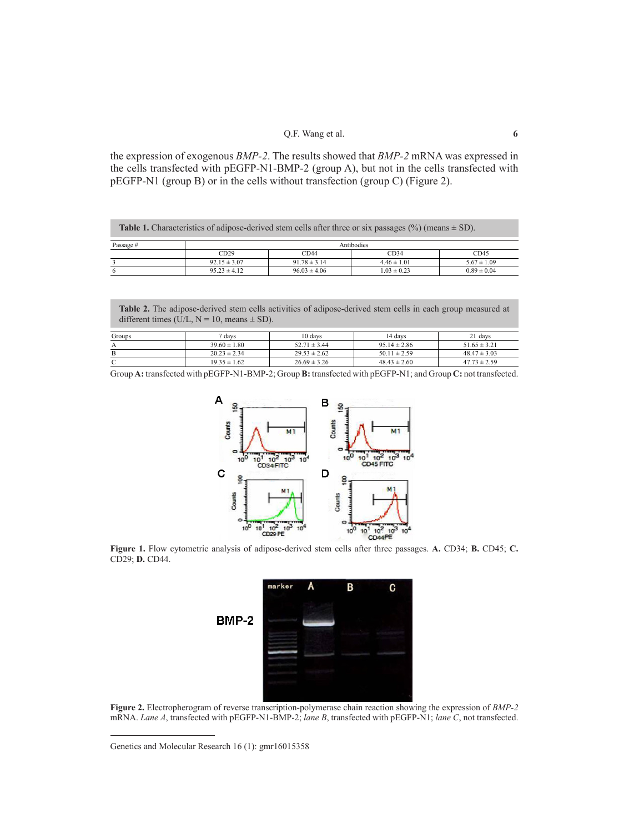the expression of exogenous *BMP-2*. The results showed that *BMP-2* mRNA was expressed in the cells transfected with pEGFP-N1-BMP-2 (group A), but not in the cells transfected with pEGFP-N1 (group B) or in the cells without transfection (group C) (Figure 2).

| <b>Table 1.</b> Characteristics of adipose-derived stem cells after three or six passages $(\%)$ (means $\pm$ SD). |                  |                  |                 |                 |  |  |  |
|--------------------------------------------------------------------------------------------------------------------|------------------|------------------|-----------------|-----------------|--|--|--|
| Passage #                                                                                                          | Antibodies       |                  |                 |                 |  |  |  |
|                                                                                                                    | CD29             | CD44             | CD34            | CD45            |  |  |  |
|                                                                                                                    | $92.15 \pm 3.07$ | $91.78 \pm 3.14$ | $446 \pm 101$   | $5.67 \pm 1.09$ |  |  |  |
|                                                                                                                    | $9523 \pm 412$   | $96.03 \pm 4.06$ | $1.03 \pm 0.23$ | $0.89 \pm 0.04$ |  |  |  |

**Table 2.** The adipose-derived stem cells activities of adipose-derived stem cells in each group measured at different times ( $\overrightarrow{U}/L$ , N = 10, means  $\pm$  SD).

| Groups     | davs             | 10 davs          | 14 davs          | 21 days          |
|------------|------------------|------------------|------------------|------------------|
|            | $39.60 \pm 1.80$ | $52.71 \pm 3.44$ | $9514 \pm 286$   | $51.65 \pm 3.21$ |
|            | $20.23 \pm 2.34$ | $29.53 \pm 2.62$ | $50.11 \pm 2.59$ | $48.47 \pm 3.03$ |
| $\sqrt{ }$ | $19.35 \pm 1.62$ | $26.69 \pm 3.26$ | $48.43 \pm 2.60$ | $47.73 \pm 2.59$ |

Group **A:** transfected with pEGFP-N1-BMP-2; Group **B:** transfected with pEGFP-N1; and Group **C:** not transfected.



**Figure 1.** Flow cytometric analysis of adipose-derived stem cells after three passages. **A.** CD34; **B.** CD45; **C.** CD29; **D.** CD44.



**Figure 2.** Electropherogram of reverse transcription-polymerase chain reaction showing the expression of *BMP-2* mRNA. *Lane A*, transfected with pEGFP-N1-BMP-2; *lane B*, transfected with pEGFP-N1; *lane C*, not transfected.

Genetics and Molecular Research 16 (1): gmr16015358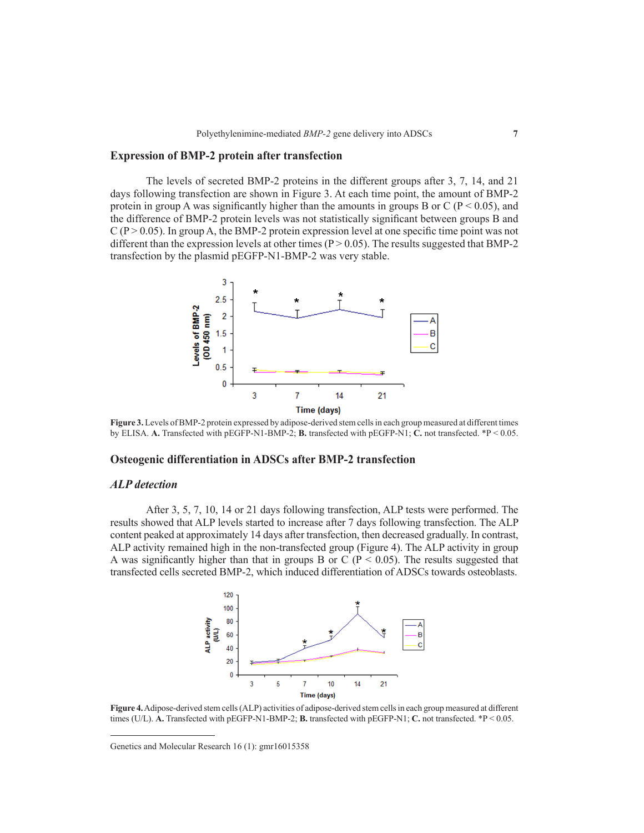# **Expression of BMP-2 protein after transfection**

The levels of secreted BMP-2 proteins in the different groups after 3, 7, 14, and 21 days following transfection are shown in Figure 3. At each time point, the amount of BMP-2 protein in group A was significantly higher than the amounts in groups B or C ( $P < 0.05$ ), and the difference of BMP-2 protein levels was not statistically significant between groups B and  $C (P > 0.05)$ . In group A, the BMP-2 protein expression level at one specific time point was not different than the expression levels at other times ( $P > 0.05$ ). The results suggested that BMP-2 transfection by the plasmid pEGFP-N1-BMP-2 was very stable.



**Figure 3.** Levels of BMP-2 protein expressed by adipose-derived stem cells in each group measured at different times by ELISA. **A.** Transfected with pEGFP-N1-BMP-2; **B.** transfected with pEGFP-N1; **C.** not transfected. \*P < 0.05.

## **Osteogenic differentiation in ADSCs after BMP-2 transfection**

#### *ALP detection*

After 3, 5, 7, 10, 14 or 21 days following transfection, ALP tests were performed. The results showed that ALP levels started to increase after 7 days following transfection. The ALP content peaked at approximately 14 days after transfection, then decreased gradually. In contrast, ALP activity remained high in the non-transfected group (Figure 4). The ALP activity in group A was significantly higher than that in groups B or C ( $P < 0.05$ ). The results suggested that transfected cells secreted BMP-2, which induced differentiation of ADSCs towards osteoblasts.



**Figure 4.** Adipose-derived stem cells (ALP) activities of adipose-derived stem cells in each group measured at different times (U/L). **A.** Transfected with pEGFP-N1-BMP-2; **B.** transfected with pEGFP-N1; **C.** not transfected. \*P < 0.05.

Genetics and Molecular Research 16 (1): gmr16015358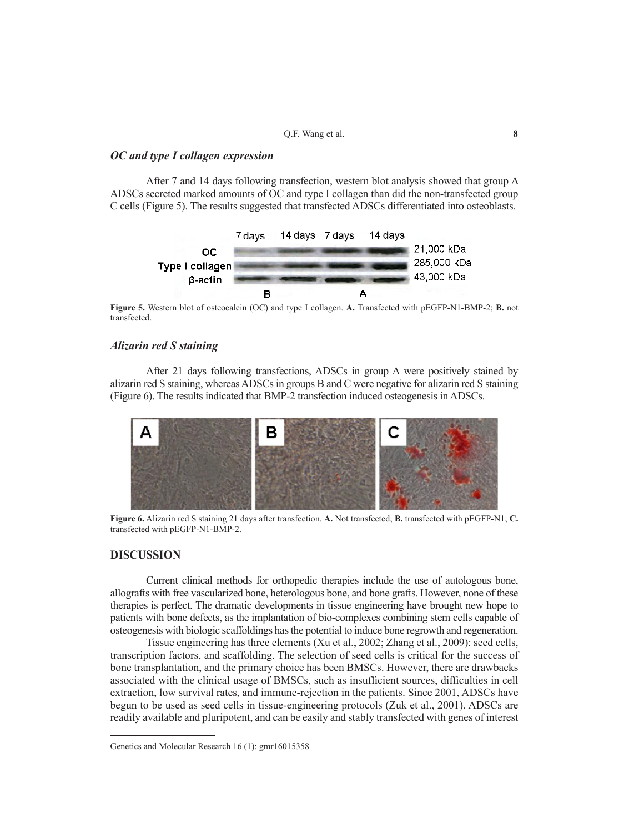## *OC and type I collagen expression*

After 7 and 14 days following transfection, western blot analysis showed that group A ADSCs secreted marked amounts of OC and type I collagen than did the non-transfected group C cells (Figure 5). The results suggested that transfected ADSCs differentiated into osteoblasts.



**Figure 5.** Western blot of osteocalcin (OC) and type I collagen. **A.** Transfected with pEGFP-N1-BMP-2; **B.** not transfected.

# *Alizarin red S staining*

After 21 days following transfections, ADSCs in group A were positively stained by alizarin red S staining, whereas ADSCs in groups B and C were negative for alizarin red S staining (Figure 6). The results indicated that BMP-2 transfection induced osteogenesis in ADSCs.



**Figure 6.** Alizarin red S staining 21 days after transfection. **A.** Not transfected; **B.** transfected with pEGFP-N1; **C.** transfected with pEGFP-N1-BMP-2.

## **DISCUSSION**

Current clinical methods for orthopedic therapies include the use of autologous bone, allografts with free vascularized bone, heterologous bone, and bone grafts. However, none of these therapies is perfect. The dramatic developments in tissue engineering have brought new hope to patients with bone defects, as the implantation of bio-complexes combining stem cells capable of osteogenesis with biologic scaffoldings has the potential to induce bone regrowth and regeneration.

Tissue engineering has three elements (Xu et al., 2002; Zhang et al., 2009): seed cells, transcription factors, and scaffolding. The selection of seed cells is critical for the success of bone transplantation, and the primary choice has been BMSCs. However, there are drawbacks associated with the clinical usage of BMSCs, such as insufficient sources, difficulties in cell extraction, low survival rates, and immune-rejection in the patients. Since 2001, ADSCs have begun to be used as seed cells in tissue-engineering protocols (Zuk et al., 2001). ADSCs are readily available and pluripotent, and can be easily and stably transfected with genes of interest

Genetics and Molecular Research 16 (1): gmr16015358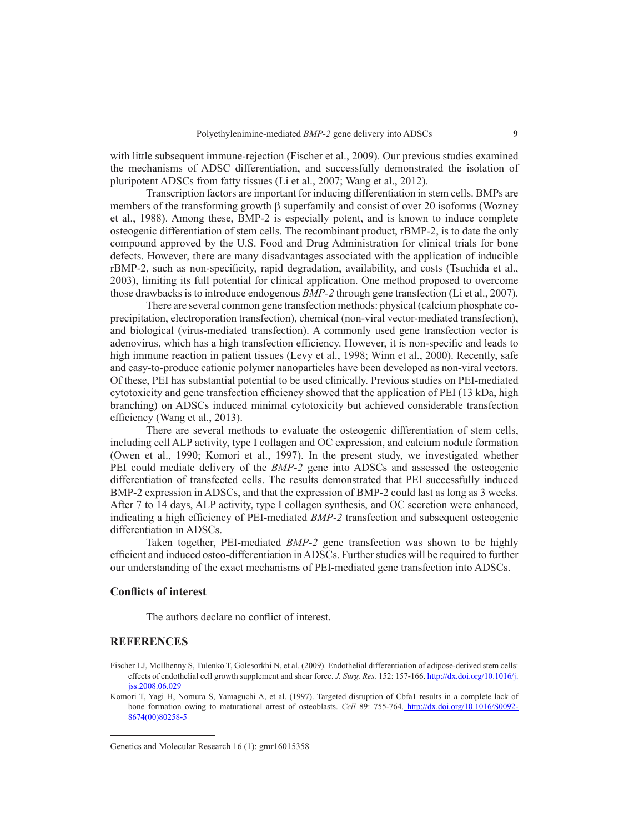with little subsequent immune-rejection (Fischer et al., 2009). Our previous studies examined the mechanisms of ADSC differentiation, and successfully demonstrated the isolation of pluripotent ADSCs from fatty tissues (Li et al., 2007; Wang et al., 2012).

Transcription factors are important for inducing differentiation in stem cells. BMPs are members of the transforming growth  $\beta$  superfamily and consist of over 20 isoforms (Wozney et al., 1988). Among these, BMP-2 is especially potent, and is known to induce complete osteogenic differentiation of stem cells. The recombinant product, rBMP-2, is to date the only compound approved by the U.S. Food and Drug Administration for clinical trials for bone defects. However, there are many disadvantages associated with the application of inducible rBMP-2, such as non-specificity, rapid degradation, availability, and costs (Tsuchida et al., 2003), limiting its full potential for clinical application. One method proposed to overcome those drawbacks is to introduce endogenous *BMP-2* through gene transfection (Li et al., 2007).

There are several common gene transfection methods: physical (calcium phosphate coprecipitation, electroporation transfection), chemical (non-viral vector-mediated transfection), and biological (virus-mediated transfection). A commonly used gene transfection vector is adenovirus, which has a high transfection efficiency. However, it is non-specific and leads to high immune reaction in patient tissues (Levy et al., 1998; Winn et al., 2000). Recently, safe and easy-to-produce cationic polymer nanoparticles have been developed as non-viral vectors. Of these, PEI has substantial potential to be used clinically. Previous studies on PEI-mediated cytotoxicity and gene transfection efficiency showed that the application of PEI (13 kDa, high branching) on ADSCs induced minimal cytotoxicity but achieved considerable transfection efficiency (Wang et al., 2013).

There are several methods to evaluate the osteogenic differentiation of stem cells, including cell ALP activity, type I collagen and OC expression, and calcium nodule formation (Owen et al., 1990; Komori et al., 1997). In the present study, we investigated whether PEI could mediate delivery of the *BMP-2* gene into ADSCs and assessed the osteogenic differentiation of transfected cells. The results demonstrated that PEI successfully induced BMP-2 expression in ADSCs, and that the expression of BMP-2 could last as long as 3 weeks. After 7 to 14 days, ALP activity, type I collagen synthesis, and OC secretion were enhanced, indicating a high efficiency of PEI-mediated *BMP-2* transfection and subsequent osteogenic differentiation in ADSCs.

Taken together, PEI-mediated *BMP-2* gene transfection was shown to be highly efficient and induced osteo-differentiation in ADSCs. Further studies will be required to further our understanding of the exact mechanisms of PEI-mediated gene transfection into ADSCs.

## **Conflicts of interest**

The authors declare no conflict of interest.

# **REFERENCES**

- Fischer LJ, McIlhenny S, Tulenko T, Golesorkhi N, et al. (2009). Endothelial differentiation of adipose-derived stem cells: effects of endothelial cell growth supplement and shear force. *J. Surg. Res.* 152: 157-166. http://dx.doi.org/10.1016/j. jss.2008.06.029
- Komori T, Yagi H, Nomura S, Yamaguchi A, et al. (1997). Targeted disruption of Cbfa1 results in a complete lack of bone formation owing to maturational arrest of osteoblasts. *Cell* 89: 755-764. http://dx.doi.org/10.1016/S0092- 8674(00)80258-5

Genetics and Molecular Research 16 (1): gmr16015358